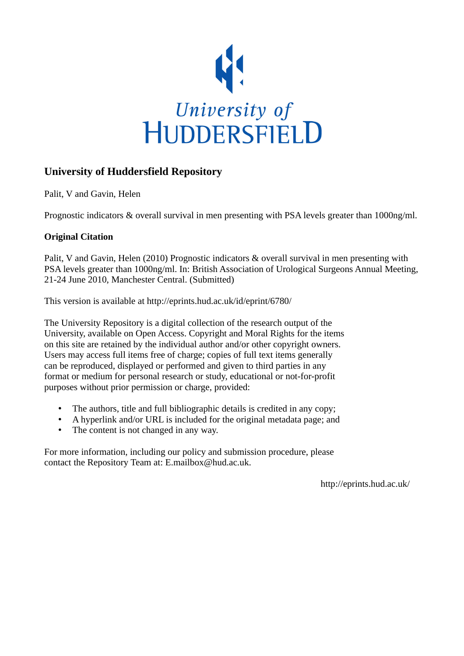

## **University of Huddersfield Repository**

Palit, V and Gavin, Helen

Prognostic indicators & overall survival in men presenting with PSA levels greater than 1000ng/ml.

## **Original Citation**

Palit, V and Gavin, Helen (2010) Prognostic indicators & overall survival in men presenting with PSA levels greater than 1000ng/ml. In: British Association of Urological Surgeons Annual Meeting, 21-24 June 2010, Manchester Central. (Submitted)

This version is available at http://eprints.hud.ac.uk/id/eprint/6780/

The University Repository is a digital collection of the research output of the University, available on Open Access. Copyright and Moral Rights for the items on this site are retained by the individual author and/or other copyright owners. Users may access full items free of charge; copies of full text items generally can be reproduced, displayed or performed and given to third parties in any format or medium for personal research or study, educational or not-for-profit purposes without prior permission or charge, provided:

- The authors, title and full bibliographic details is credited in any copy;
- A hyperlink and/or URL is included for the original metadata page; and
- The content is not changed in any way.

For more information, including our policy and submission procedure, please contact the Repository Team at: E.mailbox@hud.ac.uk.

http://eprints.hud.ac.uk/